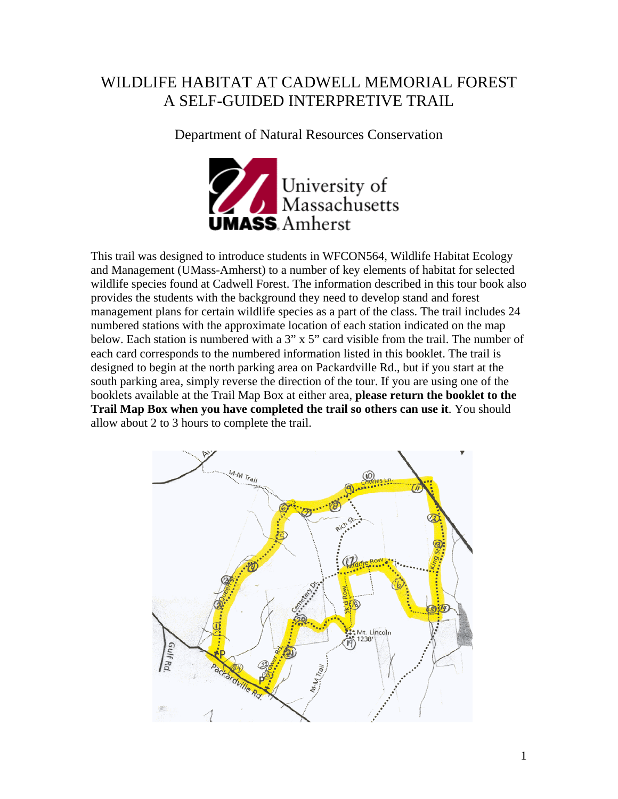## WILDLIFE HABITAT AT CADWELL MEMORIAL FOREST A SELF-GUIDED INTERPRETIVE TRAIL

Department of Natural Resources Conservation



This trail was designed to introduce students in WFCON564, Wildlife Habitat Ecology and Management (UMass-Amherst) to a number of key elements of habitat for selected wildlife species found at Cadwell Forest. The information described in this tour book also provides the students with the background they need to develop stand and forest management plans for certain wildlife species as a part of the class. The trail includes 24 numbered stations with the approximate location of each station indicated on the map below. Each station is numbered with a  $3''$  x  $5''$  card visible from the trail. The number of each card corresponds to the numbered information listed in this booklet. The trail is designed to begin at the north parking area on Packardville Rd., but if you start at the south parking area, simply reverse the direction of the tour. If you are using one of the booklets available at the Trail Map Box at either area, **please return the booklet to the Trail Map Box when you have completed the trail so others can use it**. You should allow about 2 to 3 hours to complete the trail.

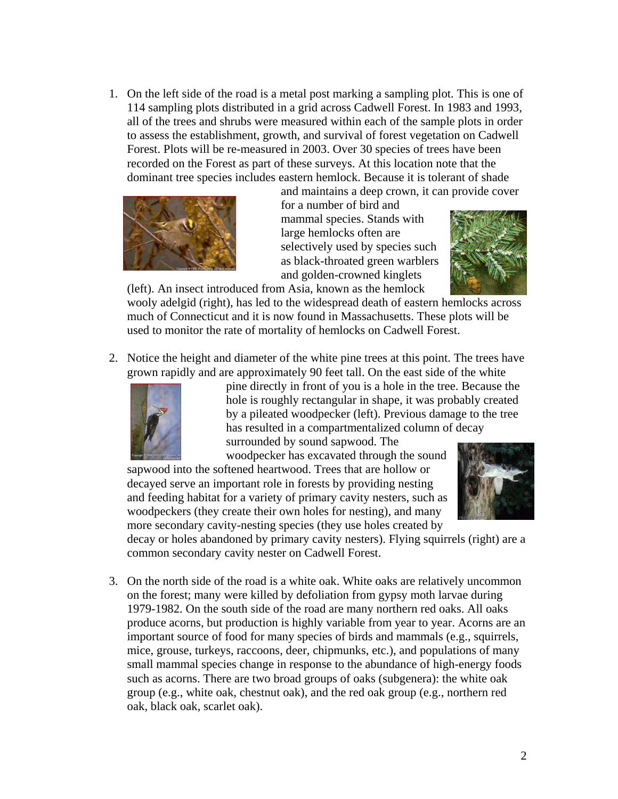1. On the left side of the road is a metal post marking a sampling plot. This is one of 114 sampling plots distributed in a grid across Cadwell Forest. In 1983 and 1993, all of the trees and shrubs were measured within each of the sample plots in order to assess the establishment, growth, and survival of forest vegetation on Cadwell Forest. Plots will be re-measured in 2003. Over 30 species of trees have been recorded on the Forest as part of these surveys. At this location note that the dominant tree species includes eastern hemlock. Because it is tolerant of shade



and maintains a deep crown, it can provide cover for a number of bird and mammal species. Stands with large hemlocks often are selectively used by species such as black-throated green warblers and golden-crowned kinglets



(left). An insect introduced from Asia, known as the hemlock wooly adelgid (right), has led to the widespread death of eastern hemlocks across much of Connecticut and it is now found in Massachusetts. These plots will be used to monitor the rate of mortality of hemlocks on Cadwell Forest.

2. Notice the height and diameter of the white pine trees at this point. The trees have grown rapidly and are approximately 90 feet tall. On the east side of the white



pine directly in front of you is a hole in the tree. Because the hole is roughly rectangular in shape, it was probably created by a pileated woodpecker (left). Previous damage to the tree has resulted in a compartmentalized column of decay surrounded by sound sapwood. The

woodpecker has excavated through the sound

sapwood into the softened heartwood. Trees that are hollow or decayed serve an important role in forests by providing nesting and feeding habitat for a variety of primary cavity nesters, such as woodpeckers (they create their own holes for nesting), and many more secondary cavity-nesting species (they use holes created by



decay or holes abandoned by primary cavity nesters). Flying squirrels (right) are a common secondary cavity nester on Cadwell Forest.

3. On the north side of the road is a white oak. White oaks are relatively uncommon on the forest; many were killed by defoliation from gypsy moth larvae during 1979-1982. On the south side of the road are many northern red oaks. All oaks produce acorns, but production is highly variable from year to year. Acorns are an important source of food for many species of birds and mammals (e.g., squirrels, mice, grouse, turkeys, raccoons, deer, chipmunks, etc.), and populations of many small mammal species change in response to the abundance of high-energy foods such as acorns. There are two broad groups of oaks (subgenera): the white oak group (e.g., white oak, chestnut oak), and the red oak group (e.g., northern red oak, black oak, scarlet oak).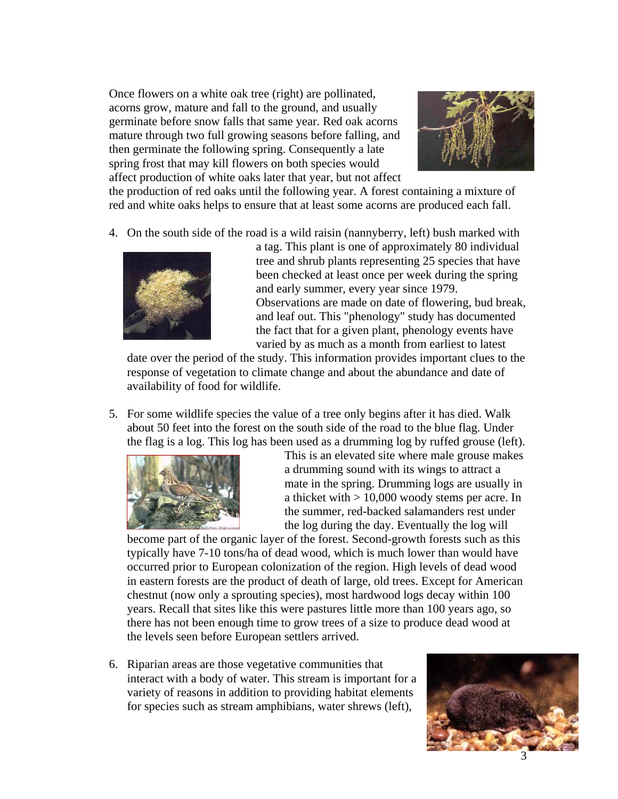Once flowers on a white oak tree (right) are pollinated, acorns grow, mature and fall to the ground, and usually germinate before snow falls that same year. Red oak acorns mature through two full growing seasons before falling, and then germinate the following spring. Consequently a late spring frost that may kill flowers on both species would affect production of white oaks later that year, but not affect



the production of red oaks until the following year. A forest containing a mixture of red and white oaks helps to ensure that at least some acorns are produced each fall.

4. On the south side of the road is a wild raisin (nannyberry, left) bush marked with



a tag. This plant is one of approximately 80 individual tree and shrub plants representing 25 species that have been checked at least once per week during the spring and early summer, every year since 1979. Observations are made on date of flowering, bud break, and leaf out. This "phenology" study has documented the fact that for a given plant, phenology events have varied by as much as a month from earliest to latest

date over the period of the study. This information provides important clues to the response of vegetation to climate change and about the abundance and date of availability of food for wildlife.

5. For some wildlife species the value of a tree only begins after it has died. Walk about 50 feet into the forest on the south side of the road to the blue flag. Under the flag is a log. This log has been used as a drumming log by ruffed grouse (left).



This is an elevated site where male grouse makes a drumming sound with its wings to attract a mate in the spring. Drumming logs are usually in a thicket with > 10,000 woody stems per acre. In the summer, red-backed salamanders rest under the log during the day. Eventually the log will

become part of the organic layer of the forest. Second-growth forests such as this typically have 7-10 tons/ha of dead wood, which is much lower than would have occurred prior to European colonization of the region. High levels of dead wood in eastern forests are the product of death of large, old trees. Except for American chestnut (now only a sprouting species), most hardwood logs decay within 100 years. Recall that sites like this were pastures little more than 100 years ago, so there has not been enough time to grow trees of a size to produce dead wood at the levels seen before European settlers arrived.

6. Riparian areas are those vegetative communities that interact with a body of water. This stream is important for a variety of reasons in addition to providing habitat elements for species such as stream amphibians, water shrews (left),

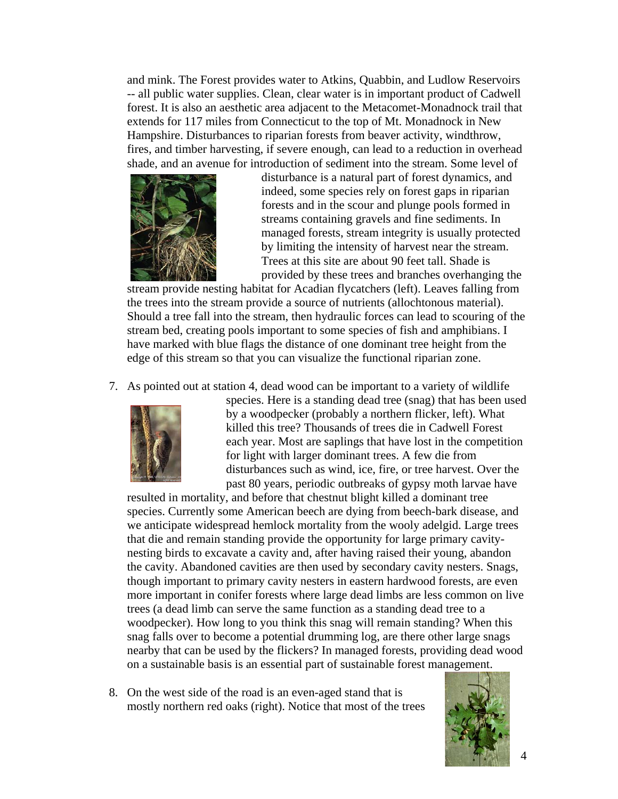and mink. The Forest provides water to Atkins, Quabbin, and Ludlow Reservoirs -- all public water supplies. Clean, clear water is in important product of Cadwell forest. It is also an aesthetic area adjacent to the Metacomet-Monadnock trail that extends for 117 miles from Connecticut to the top of Mt. Monadnock in New Hampshire. Disturbances to riparian forests from beaver activity, windthrow, fires, and timber harvesting, if severe enough, can lead to a reduction in overhead shade, and an avenue for introduction of sediment into the stream. Some level of



disturbance is a natural part of forest dynamics, and indeed, some species rely on forest gaps in riparian forests and in the scour and plunge pools formed in streams containing gravels and fine sediments. In managed forests, stream integrity is usually protected by limiting the intensity of harvest near the stream. Trees at this site are about 90 feet tall. Shade is provided by these trees and branches overhanging the

stream provide nesting habitat for Acadian flycatchers (left). Leaves falling from the trees into the stream provide a source of nutrients (allochtonous material). Should a tree fall into the stream, then hydraulic forces can lead to scouring of the stream bed, creating pools important to some species of fish and amphibians. I have marked with blue flags the distance of one dominant tree height from the edge of this stream so that you can visualize the functional riparian zone.

7. As pointed out at station 4, dead wood can be important to a variety of wildlife



species. Here is a standing dead tree (snag) that has been used by a woodpecker (probably a northern flicker, left). What killed this tree? Thousands of trees die in Cadwell Forest each year. Most are saplings that have lost in the competition for light with larger dominant trees. A few die from disturbances such as wind, ice, fire, or tree harvest. Over the past 80 years, periodic outbreaks of gypsy moth larvae have

resulted in mortality, and before that chestnut blight killed a dominant tree species. Currently some American beech are dying from beech-bark disease, and we anticipate widespread hemlock mortality from the wooly adelgid. Large trees that die and remain standing provide the opportunity for large primary cavitynesting birds to excavate a cavity and, after having raised their young, abandon the cavity. Abandoned cavities are then used by secondary cavity nesters. Snags, though important to primary cavity nesters in eastern hardwood forests, are even more important in conifer forests where large dead limbs are less common on live trees (a dead limb can serve the same function as a standing dead tree to a woodpecker). How long to you think this snag will remain standing? When this snag falls over to become a potential drumming log, are there other large snags nearby that can be used by the flickers? In managed forests, providing dead wood on a sustainable basis is an essential part of sustainable forest management.

8. On the west side of the road is an even-aged stand that is mostly northern red oaks (right). Notice that most of the trees

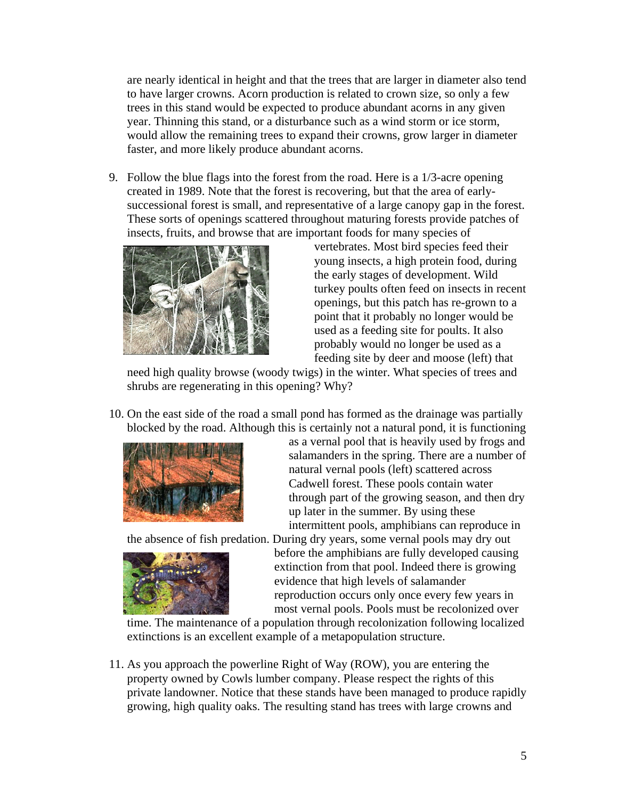are nearly identical in height and that the trees that are larger in diameter also tend to have larger crowns. Acorn production is related to crown size, so only a few trees in this stand would be expected to produce abundant acorns in any given year. Thinning this stand, or a disturbance such as a wind storm or ice storm, would allow the remaining trees to expand their crowns, grow larger in diameter faster, and more likely produce abundant acorns.

9. Follow the blue flags into the forest from the road. Here is a 1/3-acre opening created in 1989. Note that the forest is recovering, but that the area of earlysuccessional forest is small, and representative of a large canopy gap in the forest. These sorts of openings scattered throughout maturing forests provide patches of insects, fruits, and browse that are important foods for many species of



vertebrates. Most bird species feed their young insects, a high protein food, during the early stages of development. Wild turkey poults often feed on insects in recent openings, but this patch has re-grown to a point that it probably no longer would be used as a feeding site for poults. It also probably would no longer be used as a feeding site by deer and moose (left) that

need high quality browse (woody twigs) in the winter. What species of trees and shrubs are regenerating in this opening? Why?

10. On the east side of the road a small pond has formed as the drainage was partially blocked by the road. Although this is certainly not a natural pond, it is functioning



as a vernal pool that is heavily used by frogs and salamanders in the spring. There are a number of natural vernal pools (left) scattered across Cadwell forest. These pools contain water through part of the growing season, and then dry up later in the summer. By using these intermittent pools, amphibians can reproduce in

the absence of fish predation. During dry years, some vernal pools may dry out



before the amphibians are fully developed causing extinction from that pool. Indeed there is growing evidence that high levels of salamander reproduction occurs only once every few years in most vernal pools. Pools must be recolonized over

time. The maintenance of a population through recolonization following localized extinctions is an excellent example of a metapopulation structure.

11. As you approach the powerline Right of Way (ROW), you are entering the property owned by Cowls lumber company. Please respect the rights of this private landowner. Notice that these stands have been managed to produce rapidly growing, high quality oaks. The resulting stand has trees with large crowns and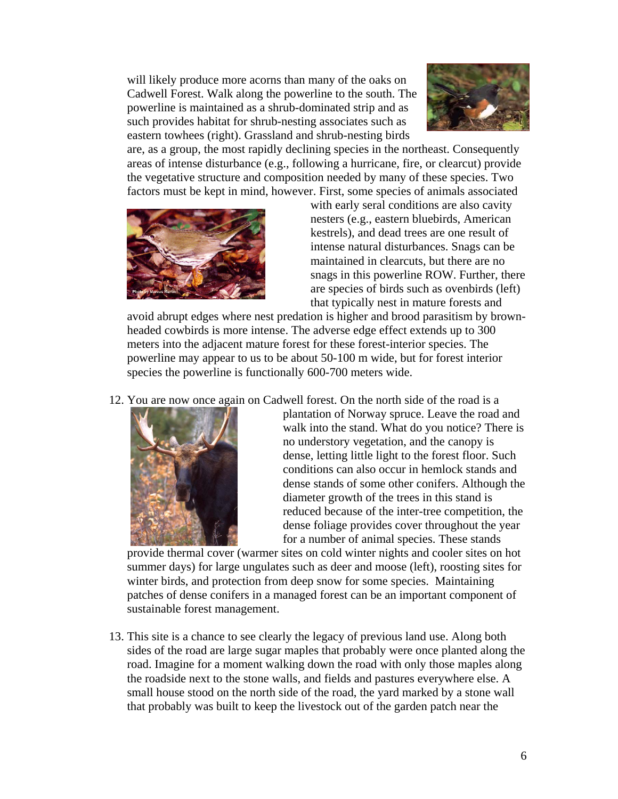will likely produce more acorns than many of the oaks on Cadwell Forest. Walk along the powerline to the south. The powerline is maintained as a shrub-dominated strip and as such provides habitat for shrub-nesting associates such as eastern towhees (right). Grassland and shrub-nesting birds



are, as a group, the most rapidly declining species in the northeast. Consequently areas of intense disturbance (e.g., following a hurricane, fire, or clearcut) provide the vegetative structure and composition needed by many of these species. Two factors must be kept in mind, however. First, some species of animals associated



with early seral conditions are also cavity nesters (e.g., eastern bluebirds, American kestrels), and dead trees are one result of intense natural disturbances. Snags can be maintained in clearcuts, but there are no snags in this powerline ROW. Further, there are species of birds such as ovenbirds (left) that typically nest in mature forests and

avoid abrupt edges where nest predation is higher and brood parasitism by brownheaded cowbirds is more intense. The adverse edge effect extends up to 300 meters into the adjacent mature forest for these forest-interior species. The powerline may appear to us to be about 50-100 m wide, but for forest interior species the powerline is functionally 600-700 meters wide.

12. You are now once again on Cadwell forest. On the north side of the road is a



plantation of Norway spruce. Leave the road and walk into the stand. What do you notice? There is no understory vegetation, and the canopy is dense, letting little light to the forest floor. Such conditions can also occur in hemlock stands and dense stands of some other conifers. Although the diameter growth of the trees in this stand is reduced because of the inter-tree competition, the dense foliage provides cover throughout the year for a number of animal species. These stands

provide thermal cover (warmer sites on cold winter nights and cooler sites on hot summer days) for large ungulates such as deer and moose (left), roosting sites for winter birds, and protection from deep snow for some species. Maintaining patches of dense conifers in a managed forest can be an important component of sustainable forest management.

13. This site is a chance to see clearly the legacy of previous land use. Along both sides of the road are large sugar maples that probably were once planted along the road. Imagine for a moment walking down the road with only those maples along the roadside next to the stone walls, and fields and pastures everywhere else. A small house stood on the north side of the road, the yard marked by a stone wall that probably was built to keep the livestock out of the garden patch near the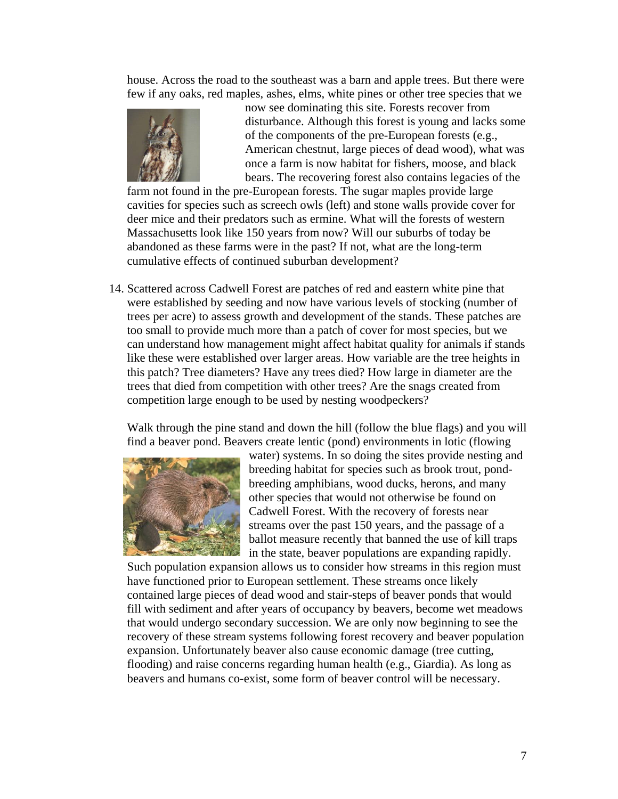house. Across the road to the southeast was a barn and apple trees. But there were few if any oaks, red maples, ashes, elms, white pines or other tree species that we



now see dominating this site. Forests recover from disturbance. Although this forest is young and lacks some of the components of the pre-European forests (e.g., American chestnut, large pieces of dead wood), what was once a farm is now habitat for fishers, moose, and black bears. The recovering forest also contains legacies of the

farm not found in the pre-European forests. The sugar maples provide large cavities for species such as screech owls (left) and stone walls provide cover for deer mice and their predators such as ermine. What will the forests of western Massachusetts look like 150 years from now? Will our suburbs of today be abandoned as these farms were in the past? If not, what are the long-term cumulative effects of continued suburban development?

14. Scattered across Cadwell Forest are patches of red and eastern white pine that were established by seeding and now have various levels of stocking (number of trees per acre) to assess growth and development of the stands. These patches are too small to provide much more than a patch of cover for most species, but we can understand how management might affect habitat quality for animals if stands like these were established over larger areas. How variable are the tree heights in this patch? Tree diameters? Have any trees died? How large in diameter are the trees that died from competition with other trees? Are the snags created from competition large enough to be used by nesting woodpeckers?

Walk through the pine stand and down the hill (follow the blue flags) and you will find a beaver pond. Beavers create lentic (pond) environments in lotic (flowing



water) systems. In so doing the sites provide nesting and breeding habitat for species such as brook trout, pondbreeding amphibians, wood ducks, herons, and many other species that would not otherwise be found on Cadwell Forest. With the recovery of forests near streams over the past 150 years, and the passage of a ballot measure recently that banned the use of kill traps in the state, beaver populations are expanding rapidly.

Such population expansion allows us to consider how streams in this region must have functioned prior to European settlement. These streams once likely contained large pieces of dead wood and stair-steps of beaver ponds that would fill with sediment and after years of occupancy by beavers, become wet meadows that would undergo secondary succession. We are only now beginning to see the recovery of these stream systems following forest recovery and beaver population expansion. Unfortunately beaver also cause economic damage (tree cutting, flooding) and raise concerns regarding human health (e.g., Giardia). As long as beavers and humans co-exist, some form of beaver control will be necessary.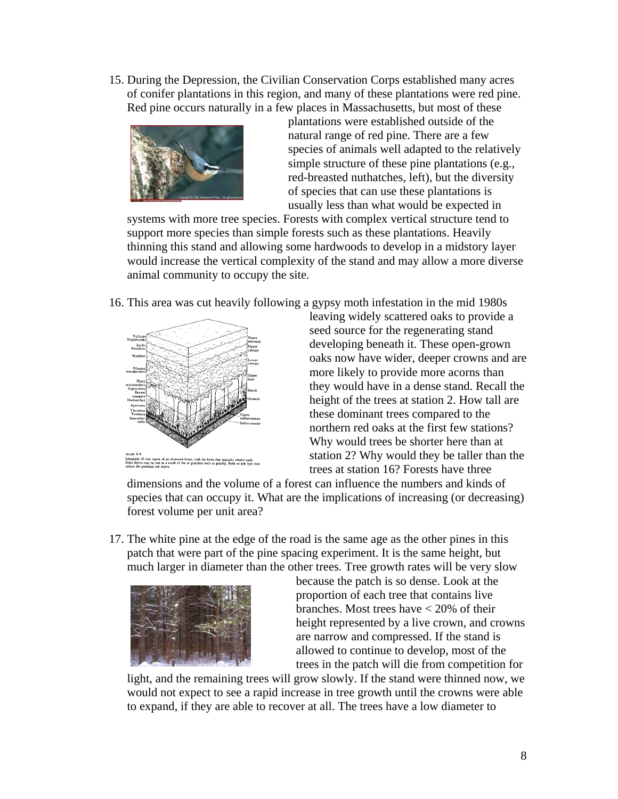15. During the Depression, the Civilian Conservation Corps established many acres of conifer plantations in this region, and many of these plantations were red pine. Red pine occurs naturally in a few places in Massachusetts, but most of these



plantations were established outside of the natural range of red pine. There are a few species of animals well adapted to the relatively simple structure of these pine plantations (e.g., red-breasted nuthatches, left), but the diversity of species that can use these plantations is usually less than what would be expected in

systems with more tree species. Forests with complex vertical structure tend to support more species than simple forests such as these plantations. Heavily thinning this stand and allowing some hardwoods to develop in a midstory layer would increase the vertical complexity of the stand and may allow a more diverse animal community to occupy the site.

16. This area was cut heavily following a gypsy moth infestation in the mid 1980s



leaving widely scattered oaks to provide a seed source for the regenerating stand developing beneath it. These open-grown oaks now have wider, deeper crowns and are more likely to provide more acorns than they would have in a dense stand. Recall the height of the trees at station 2. How tall are these dominant trees compared to the northern red oaks at the first few stations? Why would trees be shorter here than at station 2? Why would they be taller than the trees at station 16? Forests have three

dimensions and the volume of a forest can influence the numbers and kinds of species that can occupy it. What are the implications of increasing (or decreasing) forest volume per unit area?

17. The white pine at the edge of the road is the same age as the other pines in this patch that were part of the pine spacing experiment. It is the same height, but much larger in diameter than the other trees. Tree growth rates will be very slow



because the patch is so dense. Look at the proportion of each tree that contains live branches. Most trees have < 20% of their height represented by a live crown, and crowns are narrow and compressed. If the stand is allowed to continue to develop, most of the trees in the patch will die from competition for

light, and the remaining trees will grow slowly. If the stand were thinned now, we would not expect to see a rapid increase in tree growth until the crowns were able to expand, if they are able to recover at all. The trees have a low diameter to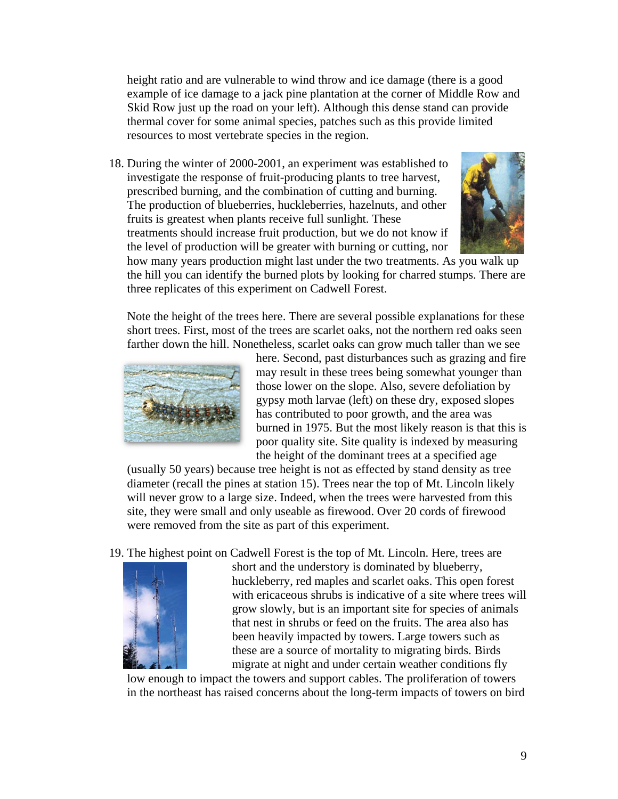height ratio and are vulnerable to wind throw and ice damage (there is a good example of ice damage to a jack pine plantation at the corner of Middle Row and Skid Row just up the road on your left). Although this dense stand can provide thermal cover for some animal species, patches such as this provide limited resources to most vertebrate species in the region.

18. During the winter of 2000-2001, an experiment was established to investigate the response of fruit-producing plants to tree harvest, prescribed burning, and the combination of cutting and burning. The production of blueberries, huckleberries, hazelnuts, and other fruits is greatest when plants receive full sunlight. These treatments should increase fruit production, but we do not know if the level of production will be greater with burning or cutting, nor



how many years production might last under the two treatments. As you walk up the hill you can identify the burned plots by looking for charred stumps. There are three replicates of this experiment on Cadwell Forest.

Note the height of the trees here. There are several possible explanations for these short trees. First, most of the trees are scarlet oaks, not the northern red oaks seen farther down the hill. Nonetheless, scarlet oaks can grow much taller than we see



here. Second, past disturbances such as grazing and fire may result in these trees being somewhat younger than those lower on the slope. Also, severe defoliation by gypsy moth larvae (left) on these dry, exposed slopes has contributed to poor growth, and the area was burned in 1975. But the most likely reason is that this is poor quality site. Site quality is indexed by measuring the height of the dominant trees at a specified age

(usually 50 years) because tree height is not as effected by stand density as tree diameter (recall the pines at station 15). Trees near the top of Mt. Lincoln likely will never grow to a large size. Indeed, when the trees were harvested from this site, they were small and only useable as firewood. Over 20 cords of firewood were removed from the site as part of this experiment.

19. The highest point on Cadwell Forest is the top of Mt. Lincoln. Here, trees are



short and the understory is dominated by blueberry, huckleberry, red maples and scarlet oaks. This open forest with ericaceous shrubs is indicative of a site where trees will grow slowly, but is an important site for species of animals that nest in shrubs or feed on the fruits. The area also has been heavily impacted by towers. Large towers such as these are a source of mortality to migrating birds. Birds migrate at night and under certain weather conditions fly

low enough to impact the towers and support cables. The proliferation of towers in the northeast has raised concerns about the long-term impacts of towers on bird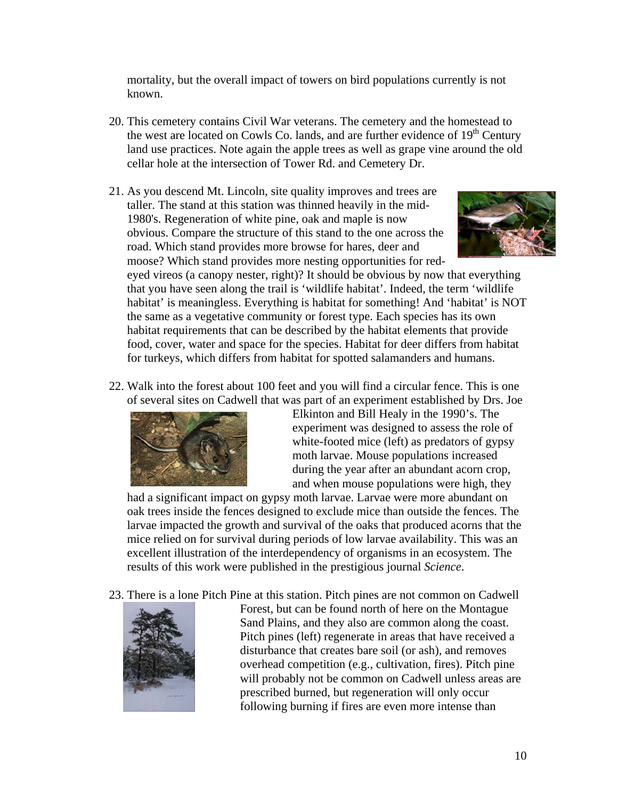mortality, but the overall impact of towers on bird populations currently is not known.

- 20. This cemetery contains Civil War veterans. The cemetery and the homestead to the west are located on Cowls Co. lands, and are further evidence of  $19<sup>th</sup>$  Century land use practices. Note again the apple trees as well as grape vine around the old cellar hole at the intersection of Tower Rd. and Cemetery Dr.
- 21. As you descend Mt. Lincoln, site quality improves and trees are taller. The stand at this station was thinned heavily in the mid-1980's. Regeneration of white pine, oak and maple is now obvious. Compare the structure of this stand to the one across the road. Which stand provides more browse for hares, deer and moose? Which stand provides more nesting opportunities for red-



eyed vireos (a canopy nester, right)? It should be obvious by now that everything that you have seen along the trail is 'wildlife habitat'. Indeed, the term 'wildlife habitat' is meaningless. Everything is habitat for something! And 'habitat' is NOT the same as a vegetative community or forest type. Each species has its own habitat requirements that can be described by the habitat elements that provide food, cover, water and space for the species. Habitat for deer differs from habitat for turkeys, which differs from habitat for spotted salamanders and humans.

22. Walk into the forest about 100 feet and you will find a circular fence. This is one of several sites on Cadwell that was part of an experiment established by Drs. Joe



Elkinton and Bill Healy in the 1990's. The experiment was designed to assess the role of white-footed mice (left) as predators of gypsy moth larvae. Mouse populations increased during the year after an abundant acorn crop, and when mouse populations were high, they

had a significant impact on gypsy moth larvae. Larvae were more abundant on oak trees inside the fences designed to exclude mice than outside the fences. The larvae impacted the growth and survival of the oaks that produced acorns that the mice relied on for survival during periods of low larvae availability. This was an excellent illustration of the interdependency of organisms in an ecosystem. The results of this work were published in the prestigious journal *Science*.

23. There is a lone Pitch Pine at this station. Pitch pines are not common on Cadwell



Forest, but can be found north of here on the Montague Sand Plains, and they also are common along the coast. Pitch pines (left) regenerate in areas that have received a disturbance that creates bare soil (or ash), and removes overhead competition (e.g., cultivation, fires). Pitch pine will probably not be common on Cadwell unless areas are prescribed burned, but regeneration will only occur following burning if fires are even more intense than